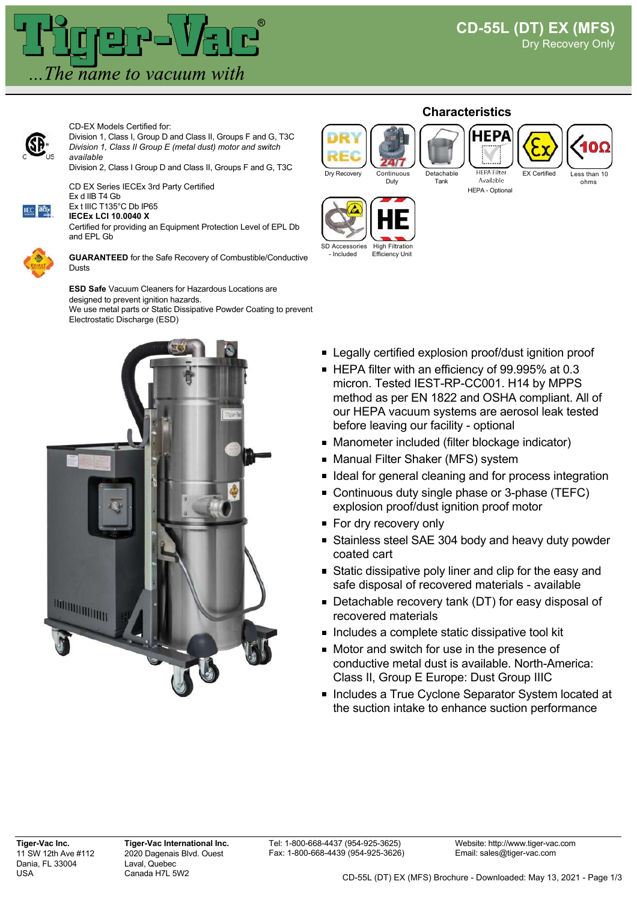

CD-EX Models Certified for:



Division 1, Class I, Group D and Class II, Groups F and G, T3C *Division 1, Class II Group E (metal dust) motor and switch available*

Division 2, Class I Group D and Class II, Groups F and G, T3C

CD EX Series IECEx 3rd Party Certified Ex d IIB T4 Gb



Ex t IIIC T135°C Db IP65 **IECEx LCI 10.0040 X**

Certified for providing an Equipment Protection Level of EPL Db and EPL Gb



**GUARANTEED** for the Safe Recovery of Combustible/Conductive Dusts

**ESD Safe** Vacuum Cleaners for Hazardous Locations are designed to prevent ignition hazards. We use metal parts or Static Dissipative Powder Coating to prevent Electrostatic Discharge (ESD)



## **Characteristics**

Tank

Continuous Duty





ohms

Available HEPA - Optional



- Included Efficiency Unit

- **Example 2** Legally certified explosion proof/dust ignition proof
- HEPA filter with an efficiency of 99.995% at 0.3 micron. Tested IEST-RP-CC001. H14 by MPPS method as per EN 1822 and OSHA compliant. All of our HEPA vacuum systems are aerosol leak tested before leaving our facility - optional
- Manometer included (filter blockage indicator)
- **Manual Filter Shaker (MFS) system**
- **If Ideal for general cleaning and for process integration**
- Continuous duty single phase or 3-phase (TEFC) explosion proof/dust ignition proof motor
- **For dry recovery only**
- Stainless steel SAE 304 body and heavy duty powder coated cart
- **Static dissipative poly liner and clip for the easy and** safe disposal of recovered materials - available
- Detachable recovery tank (DT) for easy disposal of recovered materials
- Includes a complete static dissipative tool kit
- Motor and switch for use in the presence of conductive metal dust is available. North-America: Class II, Group E Europe: Dust Group IIIC
- Includes a True Cyclone Separator System located at the suction intake to enhance suction performance

**Tiger-Vac Inc.** 11 SW 12th Ave #112 Dania, FL 33004 USA

**Tiger-Vac International Inc.** 2020 Dagenais Blvd. Ouest Laval, Quebec Canada H7L 5W2

Tel: 1-800-668-4437 (954-925-3625) Fax: 1-800-668-4439 (954-925-3626)

Website: http://www.tiger-vac.com Email: sales@tiger-vac.com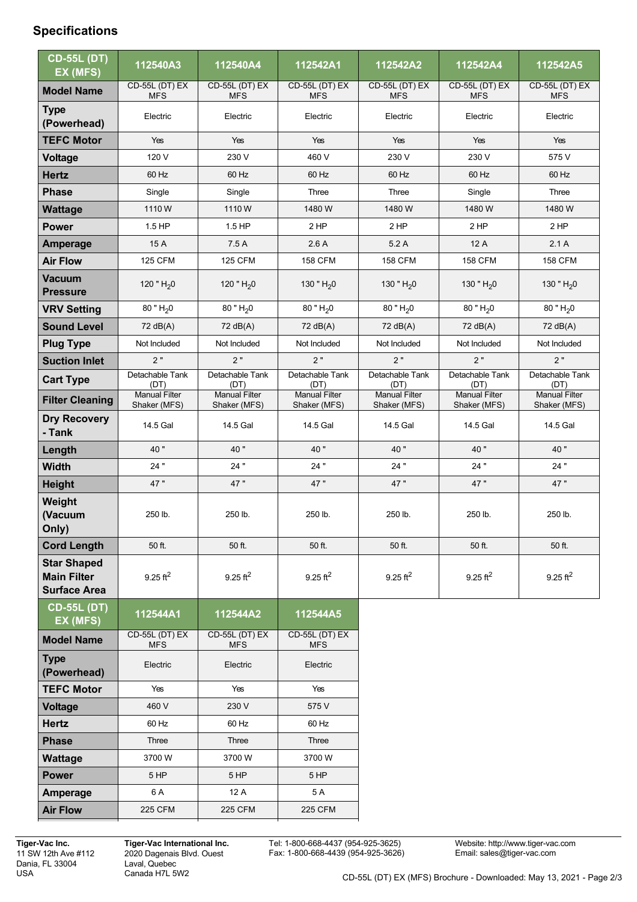## **Specifications**

| <b>CD-55L (DT)</b><br>EX (MFS)                                  | 112540A3                             | 112540A4                             | 112542A1                             | 112542A2                             | 112542A4                             | 112542A5                             |
|-----------------------------------------------------------------|--------------------------------------|--------------------------------------|--------------------------------------|--------------------------------------|--------------------------------------|--------------------------------------|
| <b>Model Name</b>                                               | <b>CD-55L (DT) EX</b><br><b>MFS</b>  | CD-55L (DT) EX<br><b>MFS</b>         | CD-55L (DT) EX<br><b>MFS</b>         | CD-55L (DT) EX<br><b>MFS</b>         | <b>CD-55L (DT) EX</b><br><b>MFS</b>  | <b>CD-55L (DT) EX</b><br><b>MFS</b>  |
| <b>Type</b><br>(Powerhead)                                      | Electric                             | Electric                             | Electric                             | Electric                             | Electric                             | Electric                             |
| <b>TEFC Motor</b>                                               | Yes                                  | Yes                                  | Yes                                  | Yes                                  | Yes                                  | Yes                                  |
| Voltage                                                         | 120 V                                | 230 V                                | 460 V                                | 230 V                                | 230 V                                | 575 V                                |
| <b>Hertz</b>                                                    | 60 Hz                                | 60 Hz                                | 60 Hz                                | 60 Hz                                | 60 Hz                                | 60 Hz                                |
| <b>Phase</b>                                                    | Single                               | Single                               | Three                                | Three                                | Single                               | Three                                |
| <b>Wattage</b>                                                  | 1110W                                | 1110W                                | 1480 W                               | 1480 W                               | 1480 W                               | 1480 W                               |
| <b>Power</b>                                                    | 1.5 HP                               | 1.5 HP                               | 2 HP                                 | $2$ HP                               | 2 HP                                 | $2$ HP                               |
| <b>Amperage</b>                                                 | 15 A                                 | 7.5A                                 | 2.6A                                 | 5.2A                                 | 12A                                  | 2.1A                                 |
| <b>Air Flow</b>                                                 | <b>125 CFM</b>                       | <b>125 CFM</b>                       | <b>158 CFM</b>                       | <b>158 CFM</b>                       | <b>158 CFM</b>                       | <b>158 CFM</b>                       |
| <b>Vacuum</b><br><b>Pressure</b>                                | 120 " $H20$                          | 120 " $H20$                          | 130 " $H20$                          | 130 " $H_2$ 0                        | 130 " $H20$                          | 130 " $H20$                          |
| <b>VRV Setting</b>                                              | $80$ " $H_2$ 0                       | $80$ " $H20$                         | $80$ " $H20$                         | $80$ " $H_2$ 0                       | $80$ " $H_2 0$                       | $80$ " $H_2$ 0                       |
| <b>Sound Level</b>                                              | 72 dB(A)                             | 72 dB(A)                             | 72 dB(A)                             | 72 dB(A)                             | 72 dB(A)                             | 72 dB(A)                             |
| <b>Plug Type</b>                                                | Not Included                         | Not Included                         | Not Included                         | Not Included                         | Not Included                         | Not Included                         |
| <b>Suction Inlet</b>                                            | 2"                                   | 2"                                   | 2"                                   | 2"                                   | 2"                                   | 2"                                   |
| <b>Cart Type</b>                                                | Detachable Tank<br>(DT)              | Detachable Tank<br>(DT)              | Detachable Tank<br>(DT)              | Detachable Tank<br>(DT)              | Detachable Tank<br>(DT)              | Detachable Tank<br>(DT)              |
| <b>Filter Cleaning</b>                                          | <b>Manual Filter</b><br>Shaker (MFS) | <b>Manual Filter</b><br>Shaker (MFS) | <b>Manual Filter</b><br>Shaker (MFS) | <b>Manual Filter</b><br>Shaker (MFS) | <b>Manual Filter</b><br>Shaker (MFS) | <b>Manual Filter</b><br>Shaker (MFS) |
| <b>Dry Recovery</b><br>- Tank                                   | 14.5 Gal                             | 14.5 Gal                             | 14.5 Gal                             | 14.5 Gal                             | 14.5 Gal                             | 14.5 Gal                             |
| Length                                                          | 40"                                  | 40"                                  | 40"                                  | 40"                                  | 40"                                  | 40 "                                 |
| <b>Width</b>                                                    | 24"                                  | 24"                                  | 24"                                  | 24"                                  | 24"                                  | 24 "                                 |
| <b>Height</b>                                                   | 47"                                  | 47"                                  | 47"                                  | 47"                                  | 47"                                  | 47"                                  |
| Weight<br>(Vacuum<br>Only)                                      | 250 lb.                              | 250 lb.                              | 250 lb.                              | 250 lb.                              | 250 lb.                              | 250 lb.                              |
| <b>Cord Length</b>                                              | 50 ft.                               | 50 ft.                               | 50 ft.                               | 50 ft.                               | 50 ft.                               | 50 ft.                               |
| <b>Star Shaped</b><br><b>Main Filter</b><br><b>Surface Area</b> | $9.25$ ft <sup>2</sup>               | $9.25$ ft <sup>2</sup>               | $9.25$ ft <sup>2</sup>               | $9.25 \text{ ft}^2$                  | $9.25$ ft <sup>2</sup>               | $9.25$ ft <sup>2</sup>               |
| <b>CD-55L (DT)</b><br>EX (MFS)                                  | 112544A1                             | 112544A2                             | 112544A5                             |                                      |                                      |                                      |
| <b>Model Name</b>                                               | CD-55L (DT) EX<br><b>MFS</b>         | <b>CD-55L (DT) EX</b><br><b>MFS</b>  | <b>CD-55L (DT) EX</b><br><b>MFS</b>  |                                      |                                      |                                      |
| <b>Type</b><br>(Powerhead)                                      | Electric                             | Electric                             | Electric                             |                                      |                                      |                                      |
| <b>TEFC Motor</b>                                               | Yes                                  | Yes                                  | Yes                                  |                                      |                                      |                                      |
| <b>Voltage</b>                                                  | 460 V                                | 230 V                                | 575 V                                |                                      |                                      |                                      |
| <b>Hertz</b>                                                    | 60 Hz                                | 60 Hz                                | 60 Hz                                |                                      |                                      |                                      |
| <b>Phase</b>                                                    | Three                                | Three                                | Three                                |                                      |                                      |                                      |
| Wattage                                                         | 3700W                                | 3700W                                | 3700W                                |                                      |                                      |                                      |
| <b>Power</b>                                                    | 5 HP                                 | 5 HP                                 | 5 HP                                 |                                      |                                      |                                      |
| <b>Amperage</b>                                                 | 6 A                                  | 12 A                                 | 5 A                                  |                                      |                                      |                                      |
| <b>Air Flow</b>                                                 | 225 CFM                              | <b>225 CFM</b>                       | <b>225 CFM</b>                       |                                      |                                      |                                      |

**Tiger-Vac Inc.** 11 SW 12th Ave #112 Dania, FL 33004 USA

**Tiger-Vac International Inc.** 2020 Dagenais Blvd. Ouest Laval, Quebec Canada H7L 5W2

Tel: 1-800-668-4437 (954-925-3625) Fax: 1-800-668-4439 (954-925-3626)

Website: http://www.tiger-vac.com Email: sales@tiger-vac.com